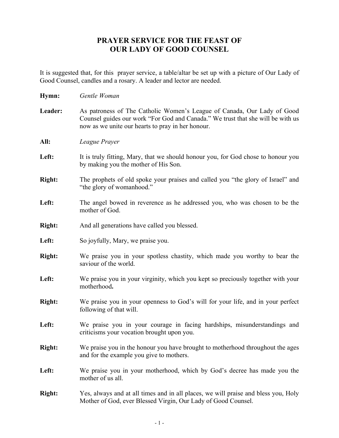## **PRAYER SERVICE FOR THE FEAST OF OUR LADY OF GOOD COUNSEL**

It is suggested that, for this prayer service, a table/altar be set up with a picture of Our Lady of Good Counsel, candles and a rosary. A leader and lector are needed.

| Hymn:         | Gentle Woman                                                                                                                                                                                                    |
|---------------|-----------------------------------------------------------------------------------------------------------------------------------------------------------------------------------------------------------------|
| Leader:       | As patroness of The Catholic Women's League of Canada, Our Lady of Good<br>Counsel guides our work "For God and Canada." We trust that she will be with us<br>now as we unite our hearts to pray in her honour. |
| All:          | League Prayer                                                                                                                                                                                                   |
| Left:         | It is truly fitting, Mary, that we should honour you, for God chose to honour you<br>by making you the mother of His Son.                                                                                       |
| <b>Right:</b> | The prophets of old spoke your praises and called you "the glory of Israel" and<br>"the glory of womanhood."                                                                                                    |
| Left:         | The angel bowed in reverence as he addressed you, who was chosen to be the<br>mother of God.                                                                                                                    |
| <b>Right:</b> | And all generations have called you blessed.                                                                                                                                                                    |
| Left:         | So joyfully, Mary, we praise you.                                                                                                                                                                               |
| <b>Right:</b> | We praise you in your spotless chastity, which made you worthy to bear the<br>saviour of the world.                                                                                                             |
| Left:         | We praise you in your virginity, which you kept so preciously together with your<br>motherhood.                                                                                                                 |
| <b>Right:</b> | We praise you in your openness to God's will for your life, and in your perfect<br>following of that will.                                                                                                      |
| Left:         | We praise you in your courage in facing hardships, misunderstandings and<br>criticisms your vocation brought upon you.                                                                                          |
| <b>Right:</b> | We praise you in the honour you have brought to motherhood throughout the ages<br>and for the example you give to mothers.                                                                                      |
| Left:         | We praise you in your motherhood, which by God's decree has made you the<br>mother of us all.                                                                                                                   |
| <b>Right:</b> | Yes, always and at all times and in all places, we will praise and bless you, Holy<br>Mother of God, ever Blessed Virgin, Our Lady of Good Counsel.                                                             |